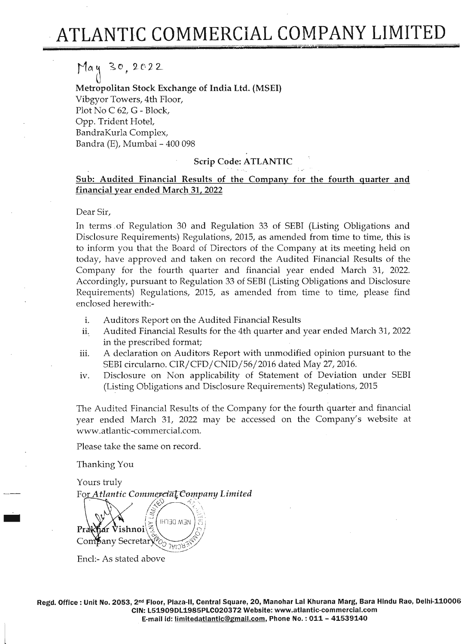#### */1Ct* 3.0, *2t'2~*

*o* Metropolitan Stock Exchange of India Ltd. (MSEI) Vibgyor Towers, 4th Floor, Plot No C 62, G - Block, Opp. Trident Hotel, BandraKurla Complex, Bandra (E), Mumbai - 400 098

# Scrip Code: ATLANTIC

# Sub: Audited Financial Results of the Company for the fourth quarter and financial year ended March 31, 2022

## Dear Sir,

In terms of Regulation 30 and Regulation 33 of SEBI (Listing Obligations and Disclosure Requirements) Regulations, 2015, as amended from time to time, this is to inform you that the Board of Directors of the Company at its meeting held on today, have approved and taken on record the Audited Financial Results of the Company for the fourth quarter and financial year ended March 31, 2022. Accordingly, pursuant to Regulation 33 of SEBI (Listing Obligations and Disclosure Requirements) Regulations, 2015, as amended from time to time, please find enclosed herewith:-

- i. Auditors Report on the Audited Financial Results
- ii. Audited Financial Results for the 4th quarter and year ended March 31, 2022 in the prescribed format;
- iii. A declaration on Auditors Report with unmodified opinion pursuant to the SEBI circularno. CIR/CFD/CNID/56/2016 dated May 27, 2016.
- iv. Disclosure on Non applicability of Statement of Deviation under SEBI (Listing Obligations and Disclosure Requirements) Regulations, 2015

The Audited Financial Results of the Company for the fourth quarter and financial year ended March 31, 2022 may be accessed on the Company's website at www.atlantic-commercial.com.

Please take the same on record.

Thanking You

-

 $\begin{bmatrix} 1 & 1 \\ 1 & 1 \end{bmatrix}$ 

Yours truly For *Atlantic Commerciat* Company Limited



Encl:- As stated above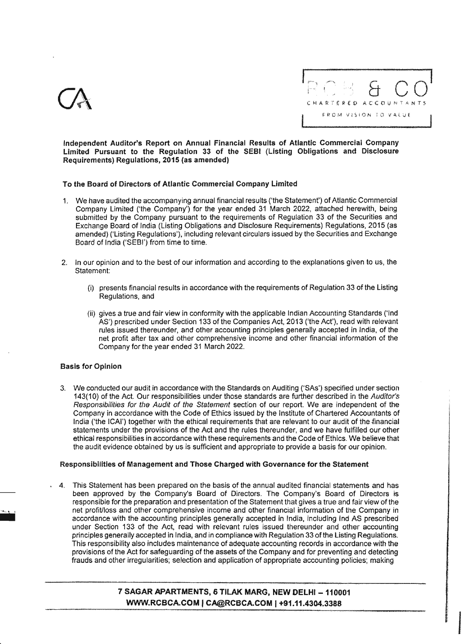



Independent Auditor's Report on Annual Financial Results of Atlantic Commercial Company Limited Pursuant to the Regulation 33 of the SEBI (Listing Obligations and Disclosure Requirements) Regulations, 2015 (as amended)

## To the Board of Directors of Atlantic Commercial Company Limited

- 1. We have audited the accompanying annual financial results ('the Statement') of Atlantic Commercial Company Limited ('the Company') for the year ended 31 March 2022, attached herewith, being submitted by the Company pursuant to the requirements of Regulation 33 of the Securities and Exchange Board of India (Listing Obligations and Disclosure Requirements) Regulations, 2015 (as amended) ('Listing Regulations'), including relevant circulars issued by the Securities and Exchange Board of India ('SEBI') from time to time.
- 2. In our opinion and to the best of our information and according to the explanations given to us, the Statement:
	- (i) presents financial results in accordance with the requirements of Regulation 33 of the Listing Regulations, and
	- (ii) gives a true and fair view in conformity with the applicable Indian Accounting Standards ('Ind AS') prescribed under Section 133 of the Companies Act, 2013 ('the Act'), read with relevant rules issued thereunder, and other accounting principles generally accepted in India, of the net profit after tax and other comprehensive income and other financial information of the Company for the year ended 31 March 2022.

## Basis for Opinion

------------------

3. We conducted our audit in accordance with the Standards on Auditing ('SAs') specified under section 143(10) of the Act. Our responsibilities under those standards are further described in the *Auditor's Responsibilities for the Audit of the Statement* section of our report. We are independent of the Company in accordance with the Code of Ethics issued by the Institute of Chartered Accountants of India ('the ICAI') together with the ethical requirements that are relevant to our audit of the financial statements under the provisions of the Act and the rules thereunder, and we have fulfilled our other ethical responsibilities in accordance with these requirements and the Code of Ethics. We believe that the audit evidence obtained by us is sufficient and appropriate to provide a basis for our opinion.

## Responsibilities of Management and Those Charged with Governance for the Statement

4. This Statement has been prepared on the basis of the annual audited financial statements and has been approved by the Company's Board of Directors. The Company's Board of Directors is responsible for the preparation and presentation of the Statement that gives a true and fair view of the net profitJloss and other comprehensive income and other financial information of the Company in accordance with the accounting principles generally accepted in India, including Ind AS prescribed under Section 133 of the Act, read with relevant rules issued thereunder and other accounting principles generally accepted in India, and in compliance with Regulation 33 ofthe Listing Regulations. This responsibility also includes maintenance of adequate accounting records in accordance with the provisions of the Act for safeguarding of the assets of the Company and for preventing and detecting frauds and other irregularities; selection and application of appropriate accounting policies: making

# 7 SAGAR APARTMENTS, 6 TILAK MARG, NEW DELHI - 110001 WWW.RCBCA.COM | CA@RCBCA.COM | +91.11.4304.3388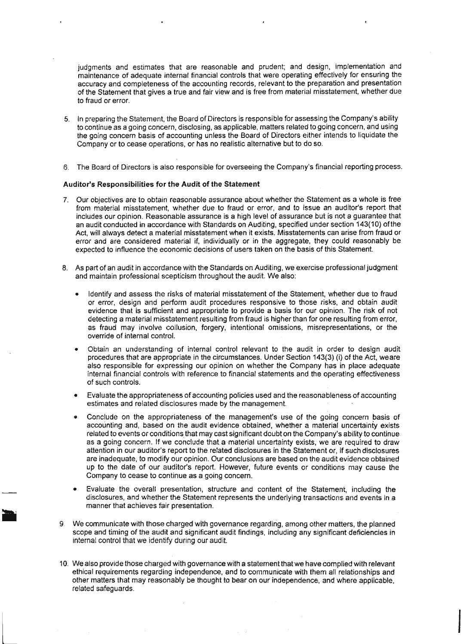judgments and estimates that are reasonable and prudent; and design, implementation and maintenance of adequate internal financial controls that were operating effectively for ensuring the accuracy and completeness of the accounting records, relevant to the preparation and presentation of the Statement that gives a true and fair view and is free from material misstatement, whether due to fraud or error.

- 5. In preparing the Statement, the Board of Directors is responsible for assessing the Company's ability to continue as a going concern, disclosing, as applicable, matters related to going concern, and using the going concern basis of accounting unless the Board of Directors either intends to liquidate the Company or to cease operations, or has no realistic alternative but to do so.
- 6. The Board of Directors is also responsible for overseeing the Company's financial reporting process.

#### Auditor's Responsibilities for the Audit of the Statement

- 7. Our objectives are to obtain reasonable assurance about whether the Statement as a whole is free from material misstatement, whether due to fraud or error, and to issue an auditor's report that includes our opinion. Reasonable assurance is a high level of assurance but is not a guarantee that an audit conducted in accordance with Standards on Auditing, specified under section 143(10) ofthe Act, will always detect a material misstatement when it exists. Misstatements can arise from fraud or error and are considered material if, individually or in the aggregate, they could reasonably be expected to influence the economic decisions of users taken on the basis of this Statement.
- 8. As part of an audit in accordance with the Standards on Auditing, we exercise professional judgment and maintain professional scepticism throughout the audit. We also:
	- Identify and assess the risks of material misstatement of the Statement, whether due to fraud or error, design and perform audit procedures responsive to those risks, and obtain audit evidence that is sufficient and appropriate to provide a basis for our opinion. The risk of not detecting a material misstatement resulting from fraud is higher than for one resulting from error, as fraud may involve collusion, forgery, intentional omissions, misrepresentations, or the override of internal control.
	- Obtain an understanding of internal control relevant to the audit in order to design audit procedures that are appropriate in the circumstances. Under Section 143(3) (i) of the Act, weare also responsible for expressing our opinion on whether the Company has in place adequate internal financial controls with reference to financial statements and the operating effectiveness of such controls.
	- Evaluate the appropriateness of accounting policies used and the reasonableness of accounting estimates and related disclosures made by the management.
	- Conclude on the appropriateness of the management's use of the going concern basis of accountinq and, based on the audit evidence obtained, whether a *materia!* uncertainty exists related to events or conditions that may cast significant doubt on the Company's ability to continue as a going concern. If we conclude that a material uncertainty exists, we are required to draw attention in our auditor's report to the related disclosures in the Statement or, if such disclosures are inadequate, to modify our opinion. Our conclusions are based on the audit evidence obtained up to the date of our auditor's report. However, future events or conditions may cause the Company to cease to continue as a going concern.
	- Evaluate the overall presentation, structure and content of the Statement, including the disclosures, and whether the Statement represents the underlying transactions and events in a manner that achieves fair presentation.
- 9. We communicate with those charged with governance regarding, among other matters, the planned scope and timing of the audit and significant audit findings, including any significant deficiencies in internal control that we identify during our audit.
- 10. We also provide those Charged with governance with a statement that we have complied with relevant ethical requirements regarding independence, and to communicate with them all relationships and other matters that may reasonably be thought to bear on our independence:, and where applicable, related safeguards.

 $\overline{\phantom{a}}$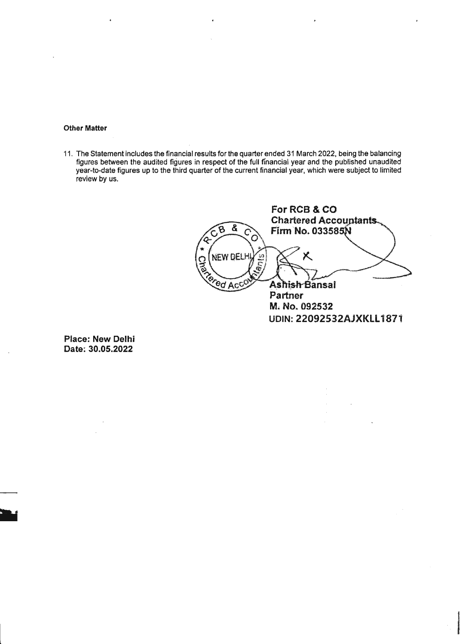## **Other Matter**

11. The Statement includes the financial results for the quarter ended 31 March 2022, being the balancing figures between the audited figures in respect of the full financial year and the published unaudited year-to-date figures up to the third quarter of the current financial year, which were subject to limited review by us.

**ForRCB&CO Chartered Accountants.**  $\boldsymbol{g}$ **Firm No. 033585N** a C **NEW DEL**  $\hat{\alpha}$ ered Acc Ashish Bansal Partner M. No. 092532 **UDIN: 22092532AJXKLl1871**

**Place: New Delhi Date: 30.05.2022**

 $\overline{\phantom{a}}$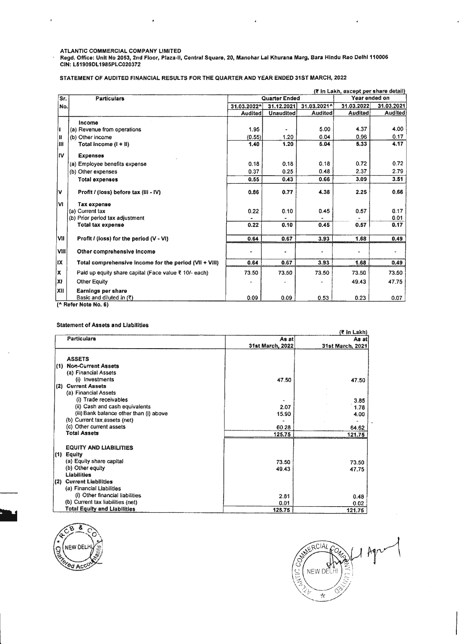ATLANTIC COMMERCIAL COMPANY LIMITED

Regd. Office: Unit No 2053, 2nd Floor, Plaza-II, Central Square, 20, Manohar Lal Khurana Marg, Bara Hindu Rao Deihl 110006 CIN: L51909DL 1985PLC020372

STATEMENT OF AUDITED FINANCIAL RESULTS FOR THE QUARTER AND YEAR ENDED 31ST MARCH. 2022

|           | (7 in Lakh, except per share detail)                    |                      |                  |                      |                |                      |
|-----------|---------------------------------------------------------|----------------------|------------------|----------------------|----------------|----------------------|
| Sr.       | <b>Particulars</b>                                      | <b>Quarter Ended</b> |                  |                      | Year ended on  |                      |
| No.       |                                                         | 31.03.2022^          | 31.12.2021       | 31.03.2021^          | 31.03.2022     | 31.03.2021           |
|           |                                                         | <b>Audited</b>       | <b>Unaudited</b> | <b>Audited</b>       | <b>Audited</b> | <b>Audited</b>       |
|           | Income                                                  |                      |                  |                      |                |                      |
| Ħ         | (a) Revenue from operations                             | 1.95                 |                  | 5.00                 | 4.37           | 4.00                 |
| H         | (b) Other income                                        | (0.55)               | 1.20             | 0.04                 | 0.96           | 0.17                 |
| IШ        | Total income $(I + II)$                                 | 1.40                 | 1.20             | 5.04                 | 5.33           | 4.17                 |
| lıv       | <b>Expenses</b>                                         |                      |                  |                      |                |                      |
|           | (a) Employee benefits expense                           | 0.18                 | 0.18             | 0.18                 | 0.72           | 0.72                 |
|           | (b) Other expenses                                      | 0.37                 | 0.25             | 0.48                 | 2.37           | 2.79                 |
|           | <b>Total expenses</b>                                   | 0.55                 | 0.43             | 0.66                 | 3.09           | 3.51                 |
| İ٧        | Profit / (loss) before tax (III - IV)                   | 0.86                 | 0.77             | 4.38                 | 2.25           | 0.66                 |
| <b>VI</b> | Tax expense                                             |                      |                  |                      |                |                      |
|           | (a) Current tax                                         | 0.22                 | 0.10             | 0.45                 | 0.57           | 0.17                 |
|           | (b) Prior period tax adjustment                         |                      |                  |                      |                | 0.01                 |
|           | <b>Total tax expense</b>                                | 0.22                 | 0.10             | 0.45                 | 0.57           | 0.17                 |
| MI        | Profit / (loss) for the period (V - VI)                 | 0.64                 | 0.67             | 3.93                 | 1.68           | 0.49                 |
| VIII      | Other comprehensive income                              | ٠                    | w.               | $\ddot{\phantom{1}}$ |                | $\ddot{\phantom{1}}$ |
| IX        | Total comprehensive income for the period (VII + VIII)  | 0.64                 | 0.67             | 3.93                 | 1.68           | 0.49                 |
| Ιx        | Paid up equity share capital (Face value ₹ 10/- each)   | 73.50                | 73.50            | 73.50                | 73.50          | 73.50                |
| lxı       | <b>Other Equity</b>                                     |                      |                  |                      | 49.43          | 47.75                |
| XII       | <b>Earnings per share</b><br>Basic and diluted in $(3)$ | 0.09                 | 0.09             | 0.53                 | 0.23           | 0.07                 |

(<sup>^</sup> Refer Note No. 6)

#### Statement of Assets and liabilities

|     |                                         | $($ <b>#</b> in Lakh) |                  |  |  |  |
|-----|-----------------------------------------|-----------------------|------------------|--|--|--|
|     | <b>Particulars</b>                      | As at                 | As at            |  |  |  |
|     |                                         | 31st March, 2022      | 31st March, 2021 |  |  |  |
|     | <b>ASSETS</b>                           |                       |                  |  |  |  |
| (1) | <b>Non-Current Assets</b>               |                       |                  |  |  |  |
|     | (a) Financial Assets                    |                       |                  |  |  |  |
|     | (i) Investments                         | 47.50                 | 47.50            |  |  |  |
| (2) | <b>Current Assets</b>                   |                       |                  |  |  |  |
|     | (a) Financial Assets                    |                       |                  |  |  |  |
|     | (i) Trade receivables                   |                       | 3.85             |  |  |  |
|     | (ii) Cash and cash equivalents          | 2.07                  | 1.78             |  |  |  |
|     | (iii) Bank balance other than (i) above | 15.90                 | 4.00             |  |  |  |
|     | (b) Current tax assets (net)            |                       |                  |  |  |  |
|     | (c) Other current assets                | 60.28                 | 64.62            |  |  |  |
|     | <b>Total Assets</b>                     | 125.75                | 121.75           |  |  |  |
|     | <b>EQUITY AND LIABILITIES</b>           |                       |                  |  |  |  |
|     | $(1)$ Equity                            |                       |                  |  |  |  |
|     | (a) Equity share capital                | 73.50                 | 73.50            |  |  |  |
|     | (b) Other equity                        | 49.43                 | 47.75            |  |  |  |
|     | <b>Llabilities</b>                      |                       |                  |  |  |  |
| (2) | <b>Current Liabilities</b>              |                       |                  |  |  |  |
|     | (a) Financial Llabilities               |                       |                  |  |  |  |
|     | (i) Other financial liabilities         | 2.81                  | 0.48             |  |  |  |
|     | (b) Current tax liabilities (net)       | 0.01                  | 0.02             |  |  |  |
|     | <b>Total Equity and Liabilities</b>     | 125,75                | 121.75           |  |  |  |



l\_

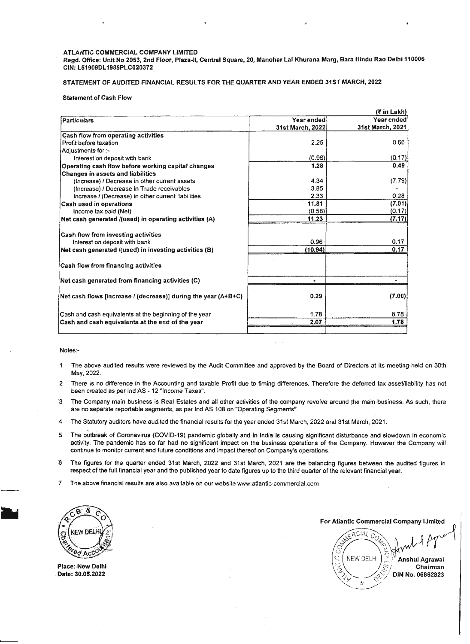#### ATLANTIC COMMERCIAL COMPANY LIMITED

Regd. Office: Unit No *2053,* 2nd Floor, Plaza-II, Central Square, 20, Manohar Lal Khurana Marg, Bara Hindu Rao Delhi *110006* CIN:LS1909DL1985PLC020312

STATEMENT OF AUDITED FINANCIAL RESULTS FOR THE QUARTER AND YEAR ENDED 31ST MARCH, *2022*

#### Statement of Cash Flow

|                                                                |                  | (₹ in Lakh)      |
|----------------------------------------------------------------|------------------|------------------|
| Particulars                                                    | Year ended       | Year ended       |
|                                                                | 31st March, 2022 | 31st March, 2021 |
| Cash flow from operating activities                            |                  |                  |
| Profit before taxation                                         | 2.25             | 0.66             |
| Adjustments for :-                                             |                  |                  |
| Interest on deposit with bank                                  | (0.96)           | (0.17)           |
| Operating cash flow before working capital changes             | 1.28             | 0.49             |
| <b>Changes in assets and liabilities</b>                       |                  |                  |
| (Increase) / Decrease in other current assets                  | 4.34             | (7.79)           |
| (Increase) / Decrease in Trade receivables                     | 3.85             |                  |
| Increase / (Decrease) in other current liabilities             | 2.33             | 0.28             |
| Cash used in operations                                        | 11.81            | (7.01)           |
| Income tax paid (Net)                                          | (0.58)           | (0.17)           |
| Net cash generated /(used) in operating activities (A)         | 11.23            | (7.17)           |
| <b>Cash flow from investing activities</b>                     |                  |                  |
| Interest on deposit with bank                                  | 0.96             | 0.17             |
| Net cash generated /(used) in investing activities (B)         | (10.94)          | 0.17             |
| <b>Cash flow from financing activities</b>                     |                  |                  |
| Net cash generated from financing activities (C)               |                  |                  |
| Net cash flows [increase / (decrease)] during the year (A+B+C) | 0.29             | (7.00)           |
|                                                                | 1.78             | 8.78             |
| Cash and cash equivalents at the beginning of the year         | 2.07             |                  |
| Cash and cash equivalents at the end of the year               |                  | 1.78             |

Notes:-

- 1 The above audited results were reviewed by the Audit Committee and approved by the Board of Directors at its meeting held on 30th May, 2022.
- 2 There is no difference in the Accounting and taxable Profit due to timing differences. Therefore the deferred tax assetlliability has not been created as per Ind AS - 12 "Income Taxes".
- 3 The Company main business is Real Estates and all other activities of the company revolve around the main business. As such, there are no separate reportable segments, as per Ind AS 108 on "Operating Segments".
- 4 The Statutory auditors have audited the financial results for the year ended 31st March, 2022 and 31st March, 2021.
- . 5 The outbreak of Coronavirus (COVID-19) pandemic globally and in India is causing significant disturbance and slowdown in economic activity. The pandemic has so far had no significant impact on the business operations of the Company. However the Company will continue to monitor current and future conditions and impact thereof on Company's operations.
- 6 The figures for the quarter ended 31st March, 2022 and 31st March. 2021 are the balancing figures between the audited figures in respect of the full financial year and the published year to date figures up to the third quarter of the relevant financial year.
- 7 The above financial results are also available on our website www.atiantic-commercial.com



Place: New Delhi Date: 30.05.2022

For Atlantic Commercial Company Limited  $\frac{C}{C}$  with ERCIAL C  $\subseteq$  NEW DELHI  $\mid \leq$  **Anshul Agrawai** \":~. f:/ Chairman

" .,J,. .,-  $\searrow$  \*  $\searrow$  ~?£Yt -- *e'?/* DIN No. 06862823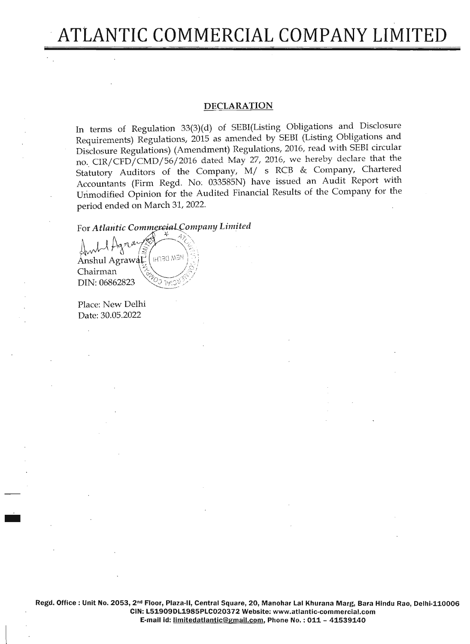# **ATLANTIC COMMERCIAL COMPANY LIMITED**

# **DECLARATION**

In terms of Regulation 33(3)(d) of SEBI(Listing Obligations and Disclosure Requirements) Regulations, 2015 as amended by SEBI (Listing Obligations and Disclosure Regulations) (Amendment) Regulations, 2016, read with SEBI circular no. *CIRjCFDjCMDj56j2016* dated May 27, 2016, we hereby declare that the Statutory Auditors of the Company, *Mj* s RCB & Company, Chartered Accountants (Firm Regd. No; 033585N) have issued an Audit Report with Unmodified Opinion for the Audited Financial Results of the Company for the period ended on March 31,2022.

For Atlantic Commercial Company Limited

**HEM DEFHI** Anshul Agrawal Chairman DIN: 06862823

Place: New Delhi Date: 30.05.2022

-

Regd. Office: Unit No. 2053, 2nd Floor, Plaza-II, Central Square, 20, Manohar Lal Khurana Marg, Bara Hindu Rao, Delhi-110006 CIN: L51909DL1985PLC020372 Website: www.atlantic-commercial.com E-mail id: limitedatlantic@gmail.com, Phone No.: 011 - 41539140